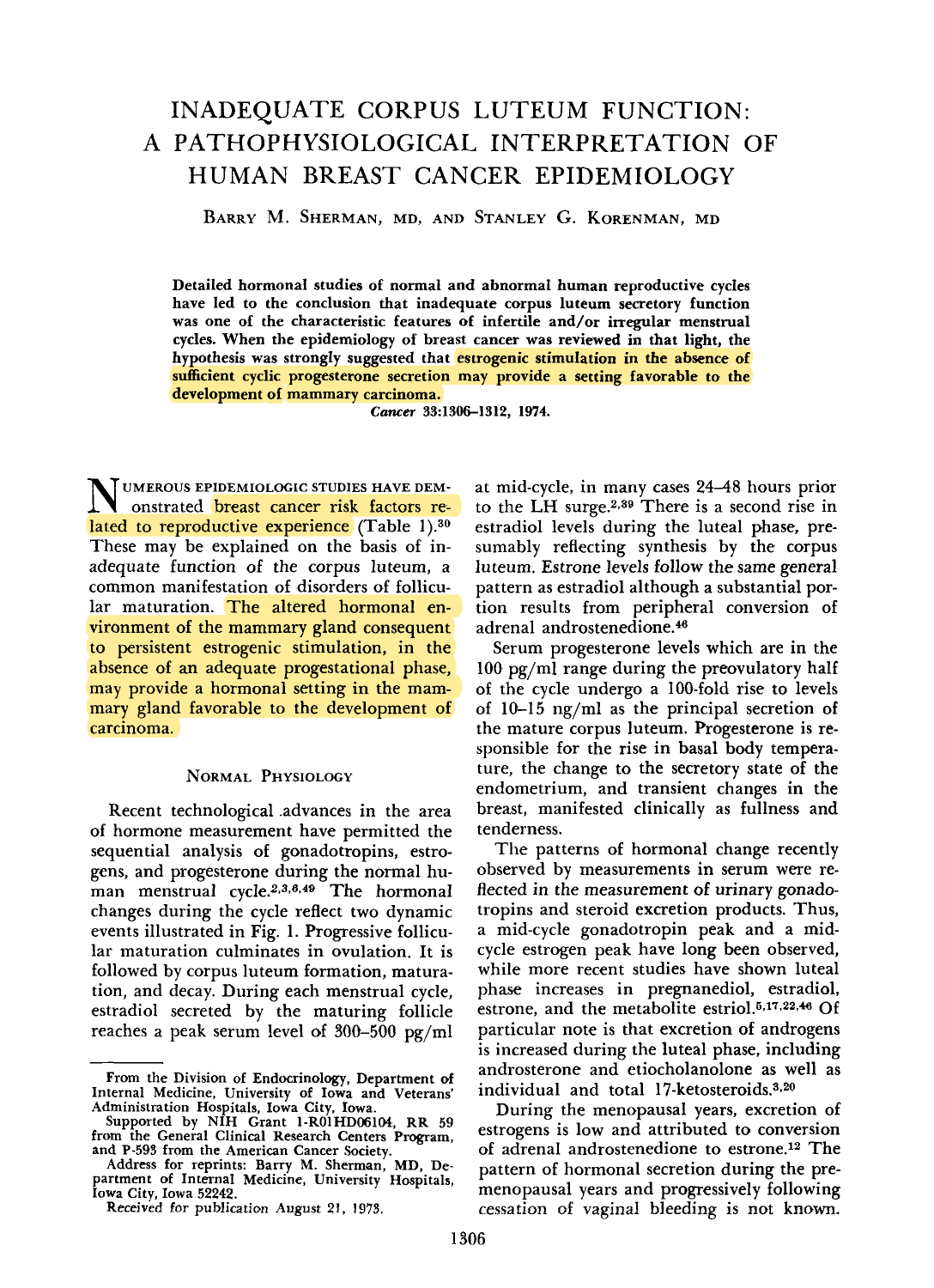# INADEQUATE CORPUS LUTEUM FUNCTION: A PATHOPHYSIOLOGICAL INTERPRETATION OF HUMAN BREAST CANCER EPIDEMIOLOGY

**BARRY M. SHERMAN, MD, AND STANLEY G. KORENMAN, MD** 

**Detailed hormonal studies of normal and abnormal human reproductive cycles have led to the conclusion that inadequate corpus luteum secretory function was one of the characteristic features of infertile and/or irregular menstrual cycles. When the epidemiology of breast cancer was reviewed in that light, the hypothesis was strongIy suggested that estrogenic stimulation in the absence of sufficient cyclic progesterone secretion may provide a setting favorable to the development of mammary carcinoma.** 

*Cancer* **33:1306-1312, 1974.** 

UMEROUS EPIDEMIOLOGIC STUDIES HAVE DEM-<br>Onstrated breast cancer risk factors related to reproductive experience (Table 1).<sup>30</sup> These may be explained on the basis of inadequate function of the corpus luteum, a common manifestation of disorders of follicular maturation. The altered hormonal environment of the mammary gland consequent to persistent estrogenic stimulation, in the absence of an adequate progestational phase, may provide a hormonal setting in the mammary gland favorable to the development of carcinoma.

## NORMAL PHYSIOLOGY

Recent technological .advances in the area of hormone measurement have permitted the sequential analysis **of** gonadotropins, estrogens, and progesterone during the normal human menstrual cycle. $2,3,6,49$  The hormonal changes during the cycle reflect two dynamic events illustrated in Fig. 1. Progressive follicular maturation culminates in ovulation. It is followed by corpus luteum formation, maturation, and decay. During each menstrual cycle, estradiol secreted by the maturing follicle reaches a peak serum level of **300-500** pg/ml at mid-cycle, in many cases 2448 hours prior to the LH surge.2,35 There is a second rise in estradiol levels during the luteal phase, presumably reflecting synthesis by the corpus luteum. Estrone levels follow the same general pattern as estradiol although a substantial portion results from peripheral conversion of adrenal androstenedione.<sup>46</sup>

Serum progesterone levels which are in the 100 pg/ml range during the preovulatory half of the cycle undergo a 100-fold rise to levels of 10-15 ng/ml as the principal secretion **of**  the mature corpus luteum. Progesterone is responsible for the rise in basal body temperature, the change to the secretory state of the endometrium, and transient changes in the breast, manifested clinically as fullness and tenderness.

The patterns of hormonal change recently observed by measurements in serum were reflected in the measurement of urinary gonadotropins and steroid excretion products. Thus, a mid-cycle gonadotropin peak and a midcycle estrogen peak have long been observed, while more recent studies have shown luteal phase increases in pregnanediol, estradiol, estrone, and the metabolite estriol.<sup>5,17,22,46</sup> Of particular note is that excretion **of** androgens is increased during the luteal phase, including androsterone and etiocholanolone as well as individual and total 17-ketosteroids.<sup>3,20</sup>

During the menopausal years, excretion of estrogens is low and attributed to conversion of adrenal androstenedione to estrone.<sup>12</sup> The pattern of hormonal secretion during the premenopausal years and progressively following cessation of vaginal bleeding is not known.

**From the Division of Endocrinology, Department of Internal Medicine, University of Iowa and Veterans' Administration Hospitals, Iowa City, Iowa.** 

**Supported by NIH Grant l-ROlHD06104, RR 59 from the General Clinical Research Centers Program, and P-593 from the American Cancer Society.** 

**Address for reprints: Barry M. Sherman, MD, Department of Internal Medicine, University Hospitals, Iowa City, Iowa 52242.** 

**Received** for **publication August 21, 1973.**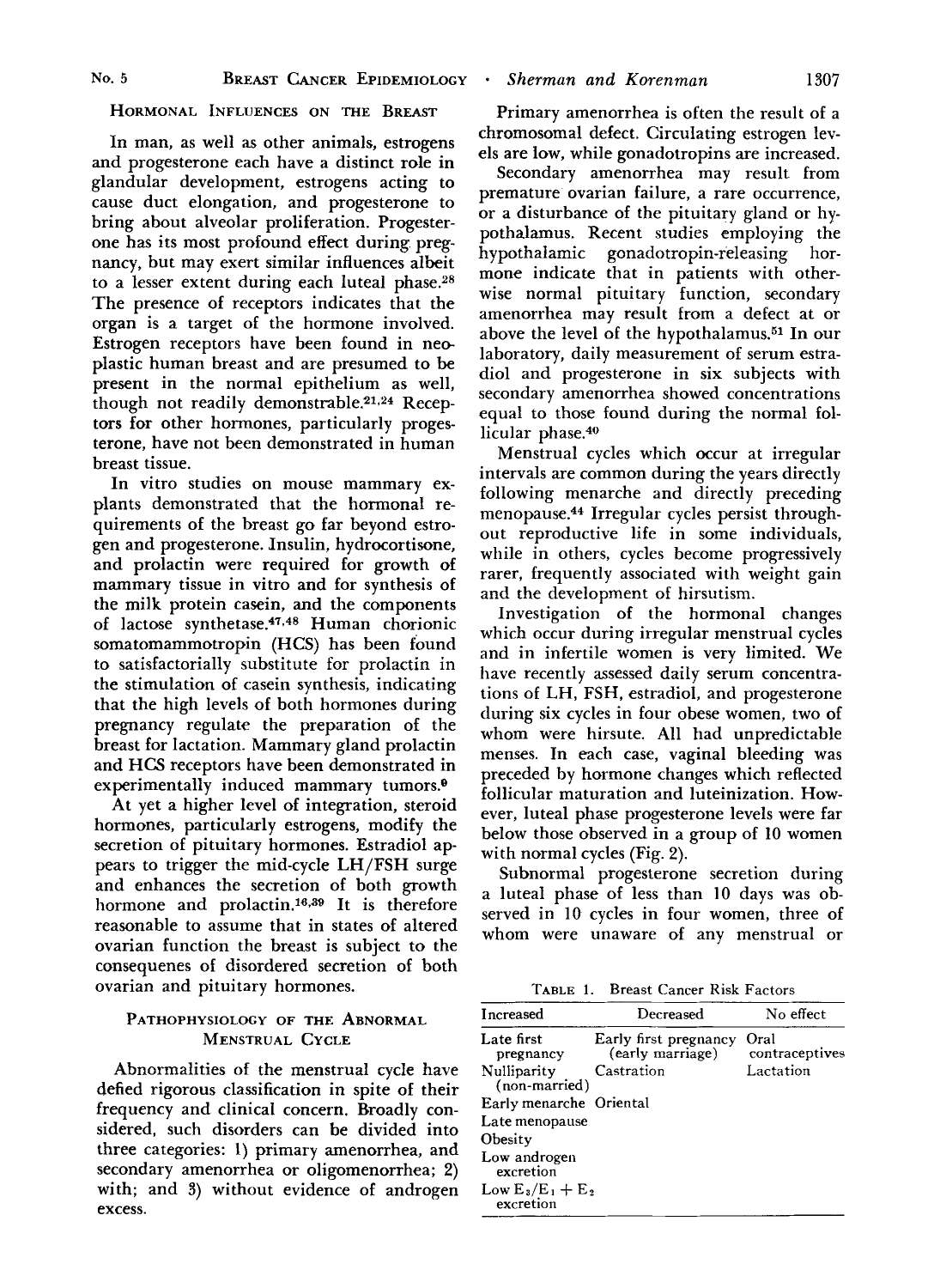#### HORMONAL INFLUENCES ON THE BREAST

In man, as well as other animals, estrogens and progesterone each have a distinct role in glandular development, estrogens acting to cause duct elongation, and progesterone to bring about alveolar proliferation. Progesterone has its most profound effect during pregnancy, but may exert similar influences albeit to a lesser extent during each luteal phase. $28$ The presence of receptors indicates that the organ is a target of the hormone involved. Estrogen receptors have been found in nee plastic human breast and are presumed to be present in the normal epithelium as well, though not readily demonstrable.<sup>21,24</sup> Receptors for other hormones, particularly progesterone, have not been demonstrated in human breast tissue.

In vitro studies on mouse mammary explants demonstrated that the hormonal requirements of the breast go far beyond estrogen and progesterone. Insulin, hydrocortisone, and prolactin were required for growth of mammary tissue in vitro and for synthesis of the milk protein casein, **and** the components of lactose synthetase.47~48 Human chorionic somatomammotropin (HCS) has been found to satisfactorially substitute for prolactin in the stimulation of casein synthesis, indicating that the high levels of both hormones during pregnancy regulate the preparation of the breast for lactation. Mammary gland prolactin and HCS receptors have been demonstrated in experimentally induced mammary tumors.@

At yet a higher level of integration, steroid hormones, particularly estrogens, modify the secretion of pituitary hormones. Estradiol appears to trigger the mid-cycle LH/FSH surge and enhances the secretion of both growth hormone and prolactin.<sup>16,39</sup> It is therefore reasonable to assume that in states of altered ovarian function the breast is subject to the consequenes of disordered secretion of both ovarian and pituitary hormones.

# PATHOPHYSIOLOGY OF THE ABNORMAL MENSTRUAL CYCLE

Abnormalities of the menstrual cycle have defied rigorous classification in spite of their frequency and clinical concern. Broadly considered, such disorders can be divided into three categories: 1) primary amenorrhea, and secondary amenorrhea or oligomenorrhea; **2)**  with; and 3) without evidence of androgen excess.

Primary amenorrhea is often the result of a chromosomal defect. Circulating estrogen levels are low, while gonadotropins are increased.

Secondary amenorrhea may result from premature ovarian failure, a rare occurrence, or a disturbance of the pituitary gland or hypothalamus. Recent studies employing the hypothalamic gonadotropin-releasing hormone indicate that in patients with otherwise normal pituitary function, secondary amenorrhea may result from a defect at or above the level of the hypothalamus.<sup>51</sup> In our laboratory, daily measurement of serum estradiol and progesterone in six subjects with secondary amenorrhea showed concentrations equal to those found during the normal follicular phase.<sup>40</sup>

Menstrual cycles which occur at irregular intervals are common during the years directly following menarche and directly preceding menopause.44 Irregular cycles persist throughout reproductive life in some individuals, while in others, cycles become progressively rarer, frequently associated with weight gain and the development of hirsutism.

Investigation of the hormonal changes which occur during irregular menstrual cycles and in infertile women is very limited. We have recently assessed daily serum concentrations of LH, FSH, estradiol, and progesterone during six cycles in four obese women, two of whom were hirsute. All had unpredictable menses. In each case, vaginal bleeding was preceded by hormone changes which reflected follicular maturation and luteinization. However, luteal phase progesterone levels were far below those observed in a group of 10 women with normal cycles (Fig. 2).

Subnormal progesterone secretion during a luteal phase of less than 10 days was observed in 10 cycles in four women, three of whom were unaware of any menstrual or

**TABLE 1. Breast Cancer Risk Factors** 

| <b>Increased</b>                 | Decreased                                 | No effect              |
|----------------------------------|-------------------------------------------|------------------------|
| Late first<br>pregnancy          | Early first pregnancy<br>(early marriage) | Oral<br>contraceptives |
| Nulliparity<br>(non-married)     | Castration                                | Lactation              |
| Early menarche Oriental          |                                           |                        |
| Late menopause                   |                                           |                        |
| Obesity                          |                                           |                        |
| Low androgen<br>excretion        |                                           |                        |
| Low $E_3/E_1 + E_2$<br>excretion |                                           |                        |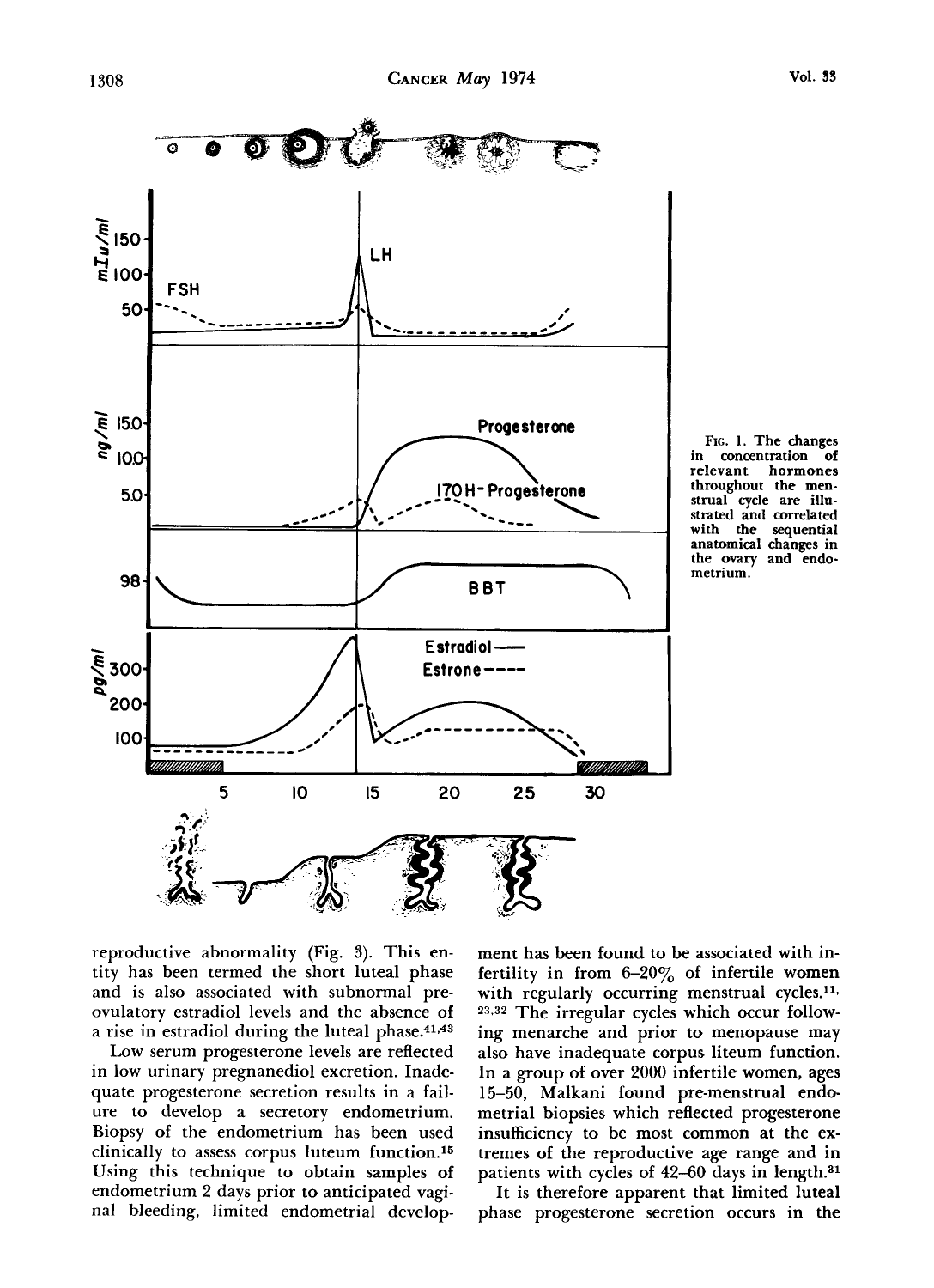

**FIG. 1. The changes in concentration of relevant hormones throughout the menstrual cycle are illustrated and correlated with the sequential anatomical changes in the ovary and endometrium.** 

reproductive abnormality (Fig. 3). This entity has been termed the short luteal phase and is also associated with subnormal preovulatory estradiol levels and the absence of a rise in estradiol during the luteal phase.<sup>41,43</sup>

Low serum progesterone levels are reflected in low urinary pregnanediol excretion. Inadequate progesterone secretion results in a failure to develop a secretory endometrium. Biopsy of the endometrium has been used clinically to assess corpus luteum function.15 Using this technique to obtain samples of endometrium 2 days prior to anticipated vaginal bleeding, limited endometrial development has been found to be associated with infertility in from  $6-20\%$  of infertile women with regularly occurring menstrual cycles.<sup>11,</sup> **23.32** The irregular cycles which occur following menarche and prior to menopause may also have inadequate corpus liteum function. In a group of over 2000 infertile women, ages 15-50, Malkani found pre-menstrual endometrial biopsies which reflected progesterone insufficiency to be most common at the extremes of the reproductive age range and in patients with cycles of **42-60** days in length.31

It is therefore apparent that limited luteal phase progesterone secretion occurs in the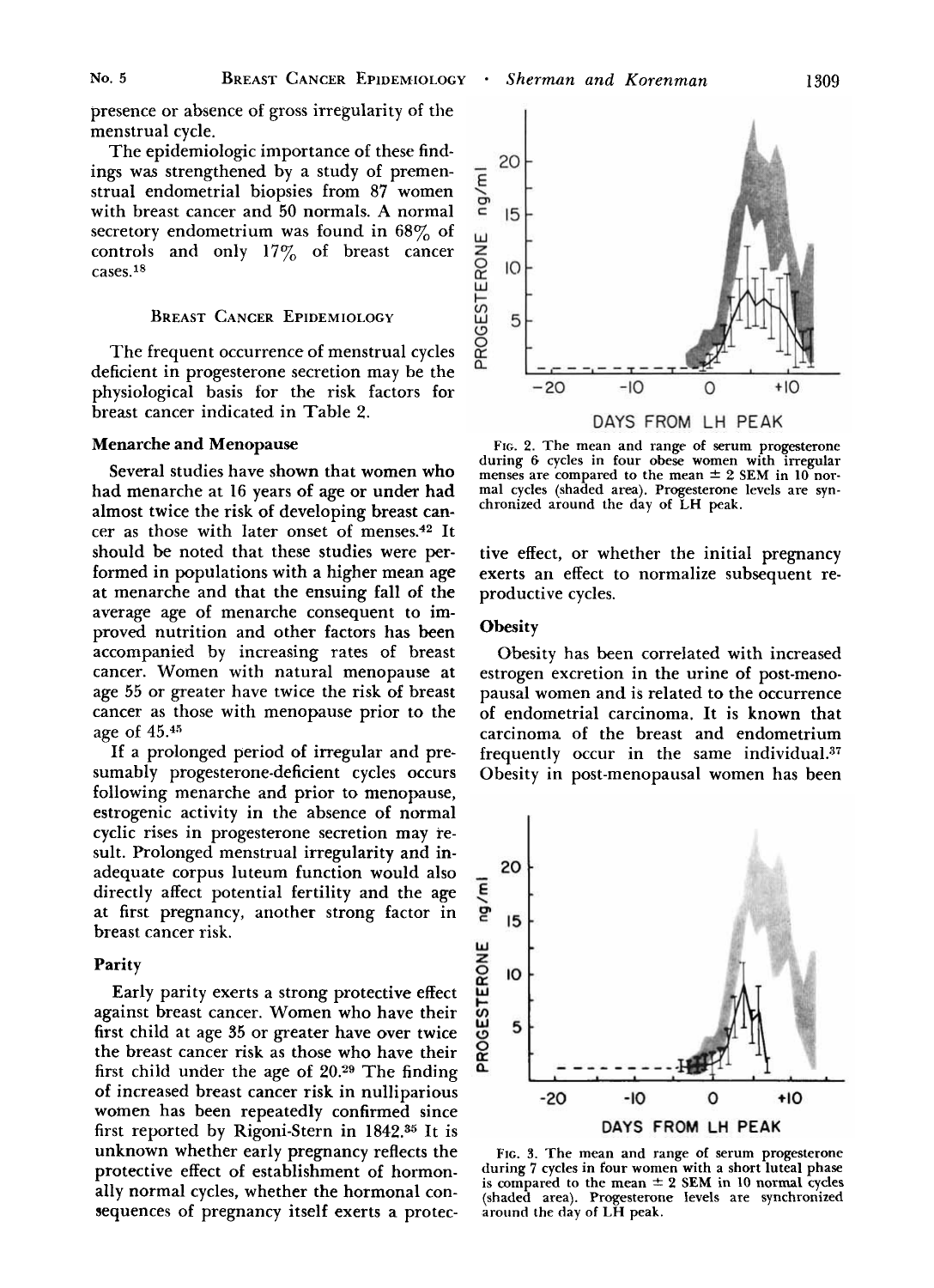presence or absence of gross irregularity of the menstrual cycle.

The epidemiologic importance of these findings was strengthened by a study of premenstrual endometrial biopsies from **87** women with breast cancer and 50 normals. **A** normal secretory endometrium was found in  $68\%$  of controls and only  $17\%$  of breast cancer cases.18

## **BREAST CANCER EPIDEMIOLOGY**

The frequent occurrence of menstrual cycles deficient in progesterone secretion may be the physiological basis for the risk factors for breast cancer indicated in Table 2.

# Menarche and Menopause

Several studies have shown that women who had menarche at 16 years of age **or** under had almost twice the risk of developing breast cancer as those with later onset of menses.42 It should be noted that these studies were **per**formed in populations with a higher mean age at menarche and that the ensuing fall of the average age of menarche consequent to improved nutrition and other factors has been accompanied by increasing rates of breast cancer. Women with natural menopause at age 55 or greater have twice the risk of breast cancer as those with menopause prior to the age of  $45.^{45}$ 

**If** a prolonged period of irregular and presumably progesterone-deficient cycles occurs following menarche and prior to menopause, estrogenic activity in the absence of normal cyclic rises in progesterone secretion may result. Prolonged menstrual irregularity and inadequate corpus luteum function would also directly affect potential fertility and the age at first pregnancy, another strong factor in breast cancer risk.

### Parity

Early parity exerts a strong protective effect against breast cancer. Women who have their first child at age **35** or greater have over twice the breast cancer **risk** as those who have their first child under the age of **20.29** The finding of increased breast cancer risk in nulliparious women has been repeatedly confirmed since first reported by Rigoni-Stern in 1842.35 It **is**  unknown whether early pregnancy reflects the protective effect of establishment of hormonally normal cycles, whether the hormonal consequences of pregnancy itself exerts a protec-



**FIG. 2. The mean and range of serum progesterone**  during 6 cycles in four obese women with irregular menses are compared to the mean  $\pm 2$  SEM in 10 nor- mal cycles (shaded area). Progesterone levels are syn**chronized around the day of LH peak.** 

tive effect, or whether the initial pregnancy exerts an effect to normalize subsequent reproductive cycles.

#### **Obesity**

Obesity has been correlated with increased estrogen excretion in the urine of post-menopausal women and is related to the occurrence of endometrial carcinoma. It is known that carcinoma of the breast and endometrium frequently occur in the same individual. $37$ Obesity in post-menopausal women has been



**FIG. 3. The mean and range of serum progesterone during 7 cycles in four women with a short luteal phase is compared to the mean** \* **2 SEM in 10 normal cycles (shaded area). Progesterone levels are synchronized around the day of LH peak.**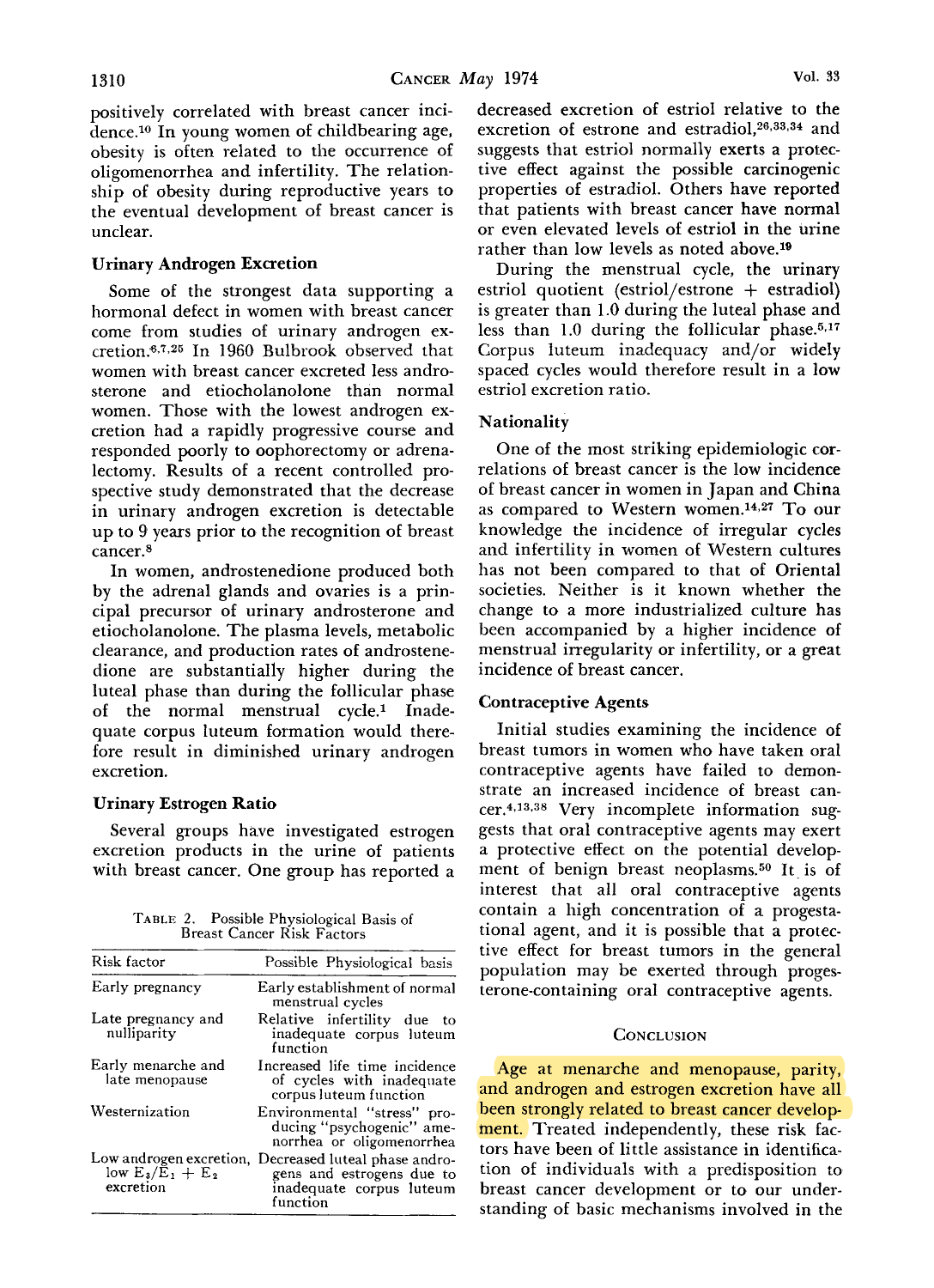positively correlated with breast cancer incidence.10 In young women of childbearing age, obesity is often related to the occurrence of oligomenorrhea and infertility. The relationship of obesity during reproductive years to the eventual development of breast cancer is unclear.

# Urinary Androgen Excretion

Some of the strongest data supporting a hormonal defect in women with breast cancer come from studies of urinary androgen excretion.<sup>6,7,25</sup> In 1960 Bulbrook observed that women with breast cancer excreted less androsterone and etiocholanolone than normal women. Those with the lowest androgen excretion had a rapidly progressive course and responded poorly to oophorectomy or adrenalectomy. Results of a recent controlled prospective study demonstrated that the decrease in urinary androgen excretion is detectable up to 9 years prior to the recognition of breast cancer.8

In women, androstenedione produced both by the adrenal glands and ovaries is a principal precursor of urinary androsterone and etiocholanolone. The plasma levels, metabolic clearance, and production rates of androstenedione are substantially higher during the luteal phase than during the follicular phase of the normal menstrual cycle.<sup>1</sup> Inadequate corpus luteum formation would therefore result in diminished urinary androgen excretion.

# Urinary Estrogen Ratio

Several groups have investigated estrogen excretion products in the urine of patients with breast cancer. One group has reported a

**TABLE 2.** Possible Physiological Basis of Breast Cancer Risk Factors

| Risk factor                                                         | Possible Physiological basis                                                                       |
|---------------------------------------------------------------------|----------------------------------------------------------------------------------------------------|
| Early pregnancy                                                     | Early establishment of normal<br>menstrual cycles                                                  |
| Late pregnancy and<br>nulliparity                                   | Relative infertility due to<br>inadequate corpus luteum<br>function                                |
| Early menarche and<br>late menopause                                | Increased life time incidence<br>of cycles with inadequate<br>corpus luteum function               |
| Westernization                                                      | Environmental "stress" pro-<br>ducing "psychogenic" ame-<br>norrhea or oligomenorrhea              |
| Low androgen excretion.<br>low $E_3/\tilde{E}_1 + E_2$<br>excretion | Decreased luteal phase andro-<br>gens and estrogens due to<br>inadequate corpus luteum<br>function |

decreased excretion **of** estriol relative to the excretion of estrone and estradio1,26,33334 and suggests that estriol normally exerts a protective effect against the possible carcinogenic properties of estradiol. Others have reported that patients with breast cancer have normal or even elevated levels of estriol in the urine rather than low levels as noted above.19

During the menstrual cycle, the urinary estriol quotient (estriol/estrone + estradiol) is greater than 1.0 during the luteal phase and less than 1.0 during the follicular phase. $5.17$ Corpus luteum inadequacy and/or widely spaced cycles would therefore result in a low estriol excretion ratio.

# Nationality

One of the most striking epidemiologic correlations of breast cancer is the low incidence of breast cancer in women in Japan and China as compared to Western women.14,27 To our knowledge the incidence of irregular cycles and infertility in women of Western cultures has not been compared to that of Oriental societies. Neither is it known whether the change to a more industrialized culture has been accompanied by a higher incidence of menstrual irregularity or infertility, or a great incidence of breast cancer.

# Contraceptive Agents

Initial studies examining the incidence of breast tumors in women who have taken oral contraceptive agents have failed to demonstrate an increased incidence of breast cancer.4,13-38 Very incomplete information suggests that oral contraceptive agents may exert a protective effect on the potential development of benign breast neoplasms.50 It is of interest that all oral contraceptive agents contain a high concentration of a progestational agent, and it is possible that a protective effect for breast tumors in the general population may be exerted through progesterone-containing oral contraceptive agents.

# **CONCLUSION**

Age at menarche and menopause, parity, and androgen and estrogen excretion have all been strongly related to breast cancer development. Treated independently, these risk factors have been of little assistance in identification of individuals with a predisposition to breast cancer development or to our understanding of basic mechanisms involved in the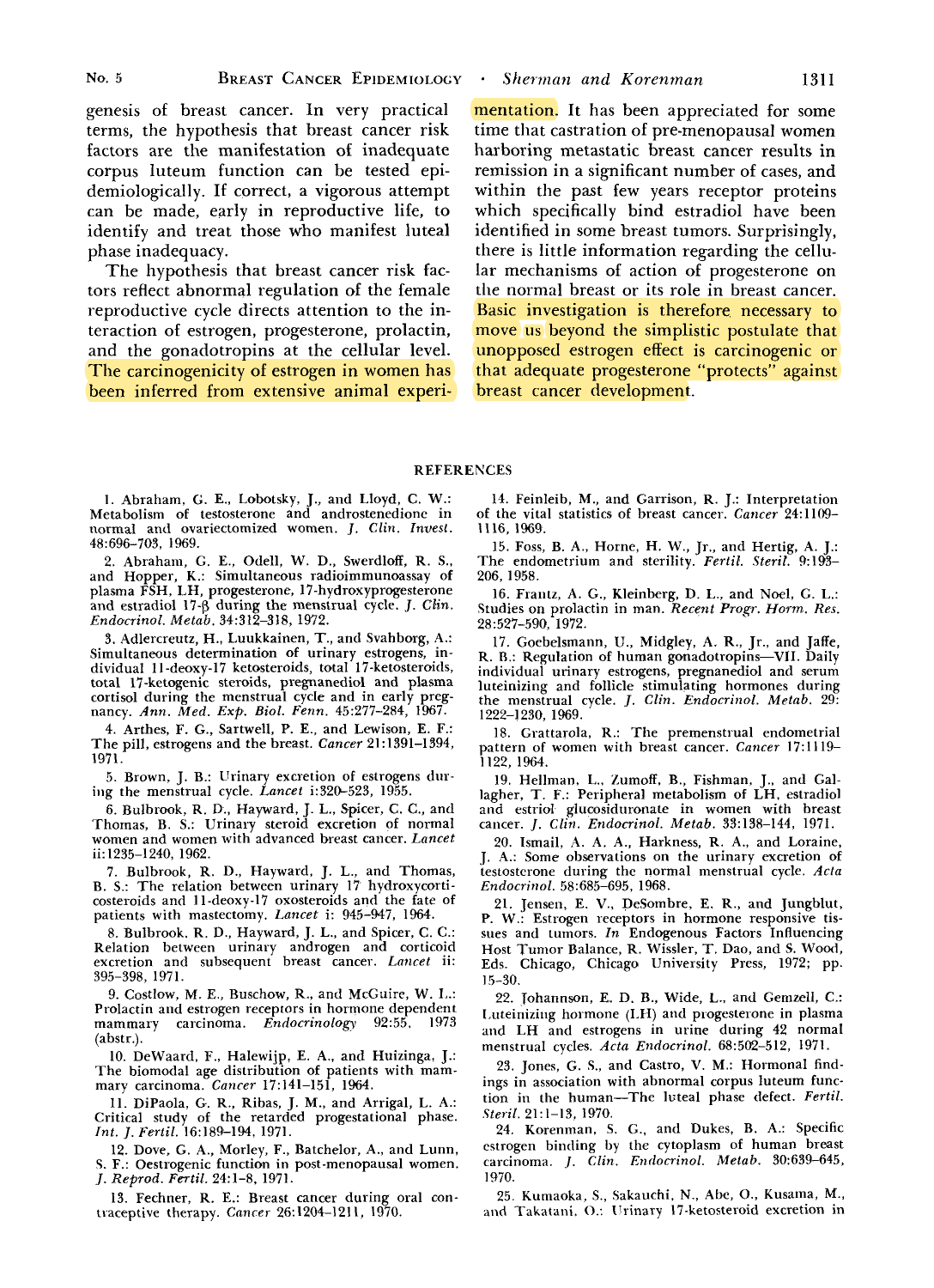genesis of breast cancer. In very practical terms, the hypothesis that breast cancer risk factors are the manifestation of inadequate corpus luteum function can be tested epidemiologically. If correct, a vigorous attempt can be made, early in reproductive life, to identify and treat those who manifest luteal phase inadequacy.

The hypothesis that breast cancer risk factors reflect abnormal regulation of the female reproductive cycle directs attention to the interaction of estrogen, progesterone, prolactin, and the gonadotropins at the cellular level. The carcinogenicity of estrogen in women has been inferred from extensive animal experimentation. It has been appreciated for some time that castration of pre-menopausal women harboring metastatic breast cancer results in remission in a significant number of cases, and within the past few years receptor proteins which specifically bind estradiol have been identified in some breast tumors. Surprisingly, there is little information regarding the cellular mechanisms of action **of** progesterone on the normal breast or its role in breast cancer. **Basic** investigation is therefore necessary to move us beyond the simplistic postulate that unopposed estrogen effect is carcinogenic or that adequate progesterone "protects" against breast cancer development.

#### REFERENCES

1. Abraham, (2. E., Lobotsky, J., and Lloyd, C. W.: Metabolism of testosterone and androstenedione in normal and ovariectomized women. J. *Ch. Invest.*  48:696-703, 1969.

2. Abraham, G. E., Odell, W. D., Swerdloff, R. S., and Hopper, K.: Simultaneous radioimmunoassay of plasma FSH, LH, progesterone, 17-hydroxyprogesterone and estradiol **17-6** during the menstrual cycle. J. *Clin. Endocrinol. Metab.* 34:312-318, 1972.

3. Adlercreutz, H., Luukkainen, T., and Svahborg, A.: Simultaneous determination of urinary estrogens, individual 11-deoxy-17 ketosteroids, total 17-ketosteroids, total 17-ketogenic steroids, pregnanediol and plasma cortisol during the menstrual cycle and in early pregnancy. *Ann.* Med. *Exp. Biol. Fenn.* 45:277-284, 1967.

4. Arthes, F. G., Sartwell, P. E., and Lewison, E. F.: The pill, estrogens and the breast. *Cancer* 21:1391-1394, 1971.

5. Brown, J. B.: Urinary excretion of estrogens during the menstrual cycle. *Lancet* i:320-523, 1955.

6. Bulbrook, R. D., Hayward, J. L., Spicer, C. C., and Thomas, B. S.: Urinary steroid excretion of normal women and women with advanced breast cancer. *Lancet*  ii:1235-1240, 1962.

7. Bulbrook, R. D., Hayward, J. L., and Thomas, B. S.: The relation between urinary 17 hydroxycorticosteroids and 11-deoxy-17 oxosteroids and the fate of patients with mastectomy. *Lancet* i: 945-947, 1964.

8. Bulbrook. R. D., Hayward, J. L., and Spicer, C. C.: Relation between urinarv androeen and corticoid excretion and subsequent' breast cancer. *Lancet* ii: " 395-398, 1971.

9. Costlow, M. E., Buschow, R., and McGuire, W. I..: Prolactin and estrogen receptors in hormone dependent mammary carcinoma. *Endocrinology* 92:55. 1973 (abstr.).

10. DeWaard, F., Halewijp, E. **A,,** and Huizinga, J.: The biomodal age distribution of patients with mam- mary carcinoma. *Cancer* 17:141-151, **1964.** 

11. DiPaola, G. R., Ribas, J. M., and Arrigal, L. A.: Critical study of the retarded progestational phase. *Int. J.* Fertil. 16:189-194, 1971.

12. Dove, G. A,, Morley, F., Batchelor, A., and Lunn, *5.* F.: Oestrogenic function in post-menopausal women. *J. Reprod. Fertil.* 24:l-8, 1971.

13. Fechner, R. E.: Breast cancer during oral contraceptive therapy. *Cancer* 26:1204-1211, 1970.

14. Feinleih, M., and Garrison, R. J.: Interpretation of the vital statistics of breast cancer. *Cancer* 24:1109- 11 16, 1969.

15. Foss, B. **A.,** Horne, H. W., Jr., and Hertig, A. J.: The endometrium and sterility. *Ferlil. Steril.* 9: 193- 206, 1958.

16. Frantz, **A.** G., Kleinberg, D. L., and Noel, G. L.: Studies on prolactin in man. Recent *Progr. Horm. Res.*  28:527-590, 1972.

17. Goebelsmann, U., Midgley, A. R., Jr., and Jaffe, R. **B.:** Regulation of human gonadotropins-VII. Daily individual urinary estrogens, pregnanediol and serum luteinizing and follicle stimulating hormones during the menstrual cycle. J. *Clin. Endocrinol. Metab.* **29:**  1222-1230, 1969.

18. Grattarola, R.: The premenstrual endometrial pattern of women with breast cancer. *Cancer* 17:1119- 1122, 1964.

19. Hellman, L., Zumoff, B., Fishman, J., and Gal-lagher, T. F.: Peripheral metabolism of LH. estradiol and estriol glucosiduronate in women with breast cancer. *J. Clin. Endocrinol. Metab.* 33:138-144, 1971.

20. Ismail, A. A. A., Harkness, R. A., and Loraine, J. **'4.:** Some observations on the urinary excretion of testosterone during the normal menstrual cycle. *Acta Endocrinol.* 58:685-695, 1968.

21. Jensen, E. V., DeSombre, E. R., and Jungblut, P. W.: Estrogen receptors in hormone responsive tissues and Lumors. *In* Endogenous Factors Influencing Host Tumor Balance, R. Wissler, T. Dao, and S. Wood, Eds. Chicago, Chicago University Press, 1972; pp. **15-30.** 

22. Tohannson, E. *D.* B., Wide, L., and Gernzell, C.: Luteinizing hormone (LH) and progesterone in plasma and LH and estrogens in urine during 42 normal menstrual cycles. *Actn Endocrinol.* 68:502-512, 1971.

23. Jones, G. **S.,** and Castro, V. M.: Hormonal findings in association with abnormal corpus luteum function in the human-The luteal phase defect. *Fertil. Stevil.* 2l:l-13, 1970.

24. Korenman, S. G., and Dukes, B. A.: Specific estrogen binding by the cytoplasm of human breast carcinoma. *.I. Clin.* Endocrinol. Metab. 30:639-645, 1970.

25. Kurnaoka, S., Sakauchi, N., **Abe,** O., Kusama, M., and Takatani. *0.:* Ilrinary 17-ketosteroid excretion in